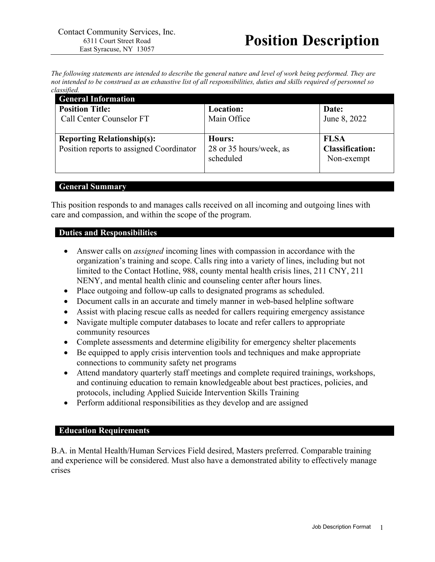*The following statements are intended to describe the general nature and level of work being performed. They are not intended to be construed as an exhaustive list of all responsibilities, duties and skills required of personnel so classified.*

| <b>General Information</b>                                                    |                                                |                                                     |
|-------------------------------------------------------------------------------|------------------------------------------------|-----------------------------------------------------|
| <b>Position Title:</b><br>Call Center Counselor FT                            | Location:<br>Main Office                       | Date:<br>June 8, 2022                               |
| <b>Reporting Relationship(s):</b><br>Position reports to assigned Coordinator | Hours:<br>28 or 35 hours/week, as<br>scheduled | <b>FLSA</b><br><b>Classification:</b><br>Non-exempt |

#### **General Summary**

This position responds to and manages calls received on all incoming and outgoing lines with care and compassion, and within the scope of the program.

# **Duties and Responsibilities**

- Answer calls on *assigned* incoming lines with compassion in accordance with the organization's training and scope. Calls ring into a variety of lines, including but not limited to the Contact Hotline, 988, county mental health crisis lines, 211 CNY, 211 NENY, and mental health clinic and counseling center after hours lines.
- Place outgoing and follow-up calls to designated programs as scheduled.
- Document calls in an accurate and timely manner in web-based helpline software
- Assist with placing rescue calls as needed for callers requiring emergency assistance
- Navigate multiple computer databases to locate and refer callers to appropriate community resources
- Complete assessments and determine eligibility for emergency shelter placements
- Be equipped to apply crisis intervention tools and techniques and make appropriate connections to community safety net programs
- Attend mandatory quarterly staff meetings and complete required trainings, workshops, and continuing education to remain knowledgeable about best practices, policies, and protocols, including Applied Suicide Intervention Skills Training
- Perform additional responsibilities as they develop and are assigned

### **Education Requirements**

B.A. in Mental Health/Human Services Field desired, Masters preferred. Comparable training and experience will be considered. Must also have a demonstrated ability to effectively manage crises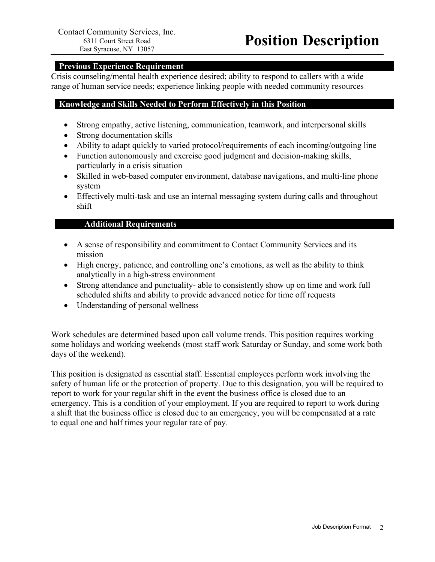# **Previous Experience Requirement**

Crisis counseling/mental health experience desired; ability to respond to callers with a wide range of human service needs; experience linking people with needed community resources

### **Knowledge and Skills Needed to Perform Effectively in this Position**

- Strong empathy, active listening, communication, teamwork, and interpersonal skills
- Strong documentation skills
- Ability to adapt quickly to varied protocol/requirements of each incoming/outgoing line
- Function autonomously and exercise good judgment and decision-making skills, particularly in a crisis situation
- Skilled in web-based computer environment, database navigations, and multi-line phone system
- Effectively multi-task and use an internal messaging system during calls and throughout shift

### **Additional Requirements**

- A sense of responsibility and commitment to Contact Community Services and its mission
- High energy, patience, and controlling one's emotions, as well as the ability to think analytically in a high-stress environment
- Strong attendance and punctuality- able to consistently show up on time and work full scheduled shifts and ability to provide advanced notice for time off requests
- Understanding of personal wellness

Work schedules are determined based upon call volume trends. This position requires working some holidays and working weekends (most staff work Saturday or Sunday, and some work both days of the weekend).

This position is designated as essential staff. Essential employees perform work involving the safety of human life or the protection of property. Due to this designation, you will be required to report to work for your regular shift in the event the business office is closed due to an emergency. This is a condition of your employment. If you are required to report to work during a shift that the business office is closed due to an emergency, you will be compensated at a rate to equal one and half times your regular rate of pay.